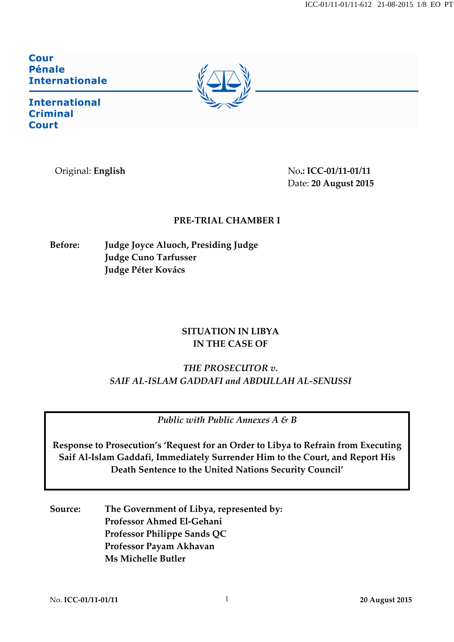ICC-01/11-01/11-612 21-08-2015 1/8 EO PT

Cour **Pénale Internationale** 



**International Criminal Court** 

Original: **English** No**.: ICC-01/11-01/11** Date: **20 August 2015**

### **PRE-TRIAL CHAMBER I**

**Before: Judge Joyce Aluoch, Presiding Judge Judge Cuno Tarfusser Judge Péter Kovács**

## **SITUATION IN LIBYA IN THE CASE OF**

# *THE PROSECUTOR v. SAIF AL-ISLAM GADDAFI and ABDULLAH AL-SENUSSI*

*Public with Public Annexes A & B*

**Response to Prosecution's 'Request for an Order to Libya to Refrain from Executing Saif Al-Islam Gaddafi, Immediately Surrender Him to the Court, and Report His Death Sentence to the United Nations Security Council'**

**Source: The Government of Libya, represented by: Professor Ahmed El-Gehani Professor Philippe Sands QC Professor Payam Akhavan Ms Michelle Butler**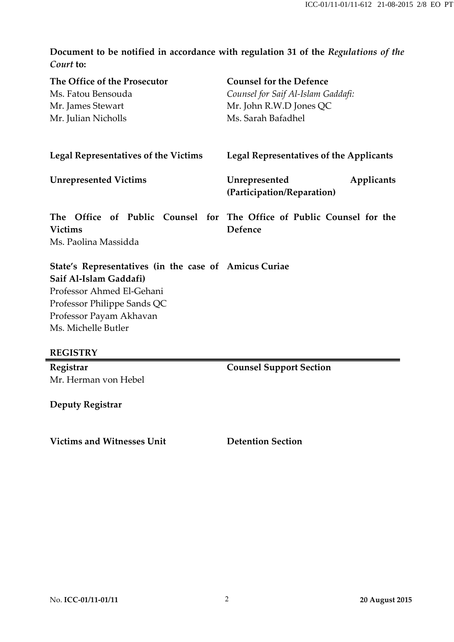**Document to be notified in accordance with regulation 31 of the** *Regulations of the Court* **to:**

| The Office of the Prosecutor<br>Ms. Fatou Bensouda                                                                                                                                            | <b>Counsel for the Defence</b><br>Counsel for Saif Al-Islam Gaddafi:             |
|-----------------------------------------------------------------------------------------------------------------------------------------------------------------------------------------------|----------------------------------------------------------------------------------|
| Mr. James Stewart                                                                                                                                                                             | Mr. John R.W.D Jones QC                                                          |
| Mr. Julian Nicholls                                                                                                                                                                           | Ms. Sarah Bafadhel                                                               |
|                                                                                                                                                                                               |                                                                                  |
| <b>Legal Representatives of the Victims</b>                                                                                                                                                   | <b>Legal Representatives of the Applicants</b>                                   |
| <b>Unrepresented Victims</b>                                                                                                                                                                  | Unrepresented<br>Applicants<br>(Participation/Reparation)                        |
| <b>Victims</b><br>Ms. Paolina Massidda                                                                                                                                                        | The Office of Public Counsel for The Office of Public Counsel for the<br>Defence |
| State's Representatives (in the case of Amicus Curiae<br>Saif Al-Islam Gaddafi)<br>Professor Ahmed El-Gehani<br>Professor Philippe Sands QC<br>Professor Payam Akhavan<br>Ms. Michelle Butler |                                                                                  |
| <b>REGISTRY</b>                                                                                                                                                                               |                                                                                  |
| Registrar                                                                                                                                                                                     | <b>Counsel Support Section</b>                                                   |
| Mr. Herman von Hebel                                                                                                                                                                          |                                                                                  |

**Deputy Registrar**

**Victims and Witnesses Unit Detention Section**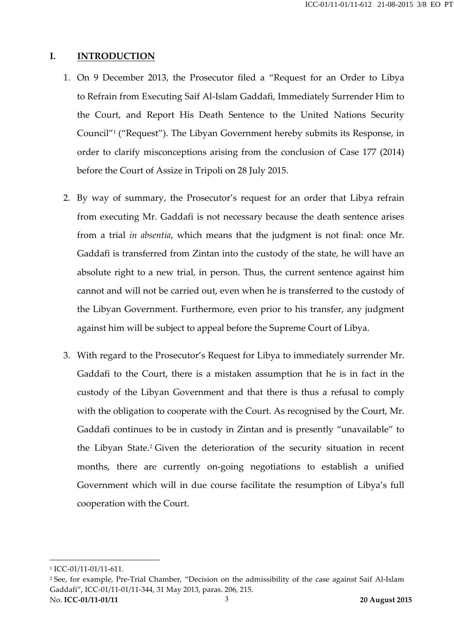#### **I. INTRODUCTION**

- 1. On 9 December 2013, the Prosecutor filed a "Request for an Order to Libya to Refrain from Executing Saif Al-Islam Gaddafi, Immediately Surrender Him to the Court, and Report His Death Sentence to the United Nations Security Council"1 ("Request"). The Libyan Government hereby submits its Response, in order to clarify misconceptions arising from the conclusion of Case 177 (2014) before the Court of Assize in Tripoli on 28 July 2015.
- 2. By way of summary, the Prosecutor's request for an order that Libya refrain from executing Mr. Gaddafi is not necessary because the death sentence arises from a trial *in absentia*, which means that the judgment is not final: once Mr. Gaddafi is transferred from Zintan into the custody of the state, he will have an absolute right to a new trial, in person. Thus, the current sentence against him cannot and will not be carried out, even when he is transferred to the custody of the Libyan Government. Furthermore, even prior to his transfer, any judgment against him will be subject to appeal before the Supreme Court of Libya.
- 3. With regard to the Prosecutor's Request for Libya to immediately surrender Mr. Gaddafi to the Court, there is a mistaken assumption that he is in fact in the custody of the Libyan Government and that there is thus a refusal to comply with the obligation to cooperate with the Court. As recognised by the Court, Mr. Gaddafi continues to be in custody in Zintan and is presently "unavailable" to the Libyan State.2 Given the deterioration of the security situation in recent months, there are currently on-going negotiations to establish a unified Government which will in due course facilitate the resumption of Libya's full cooperation with the Court.

 $\overline{a}$ 

<sup>1</sup> ICC-01/11-01/11-611.

No. **ICC-01/11-01/11** 3 **20 August 2015** <sup>2</sup> See, for example, Pre-Trial Chamber, "Decision on the admissibility of the case against Saif Al-Islam Gaddafi", ICC-01/11-01/11-344, 31 May 2013, paras. 206, 215.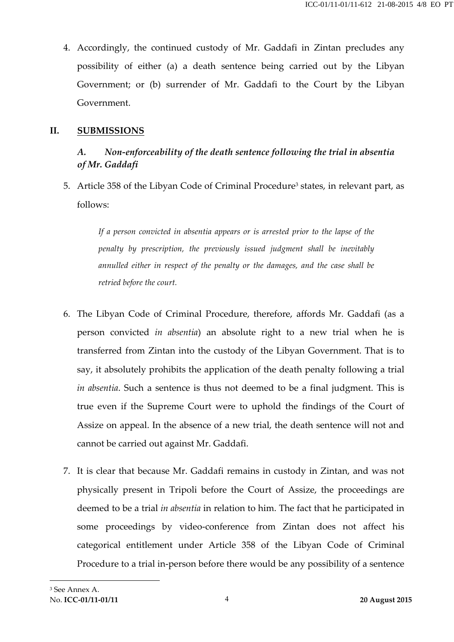4. Accordingly, the continued custody of Mr. Gaddafi in Zintan precludes any possibility of either (a) a death sentence being carried out by the Libyan Government; or (b) surrender of Mr. Gaddafi to the Court by the Libyan Government.

#### **II. SUBMISSIONS**

## *A. Non-enforceability of the death sentence following the trial in absentia of Mr. Gaddafi*

5. Article 358 of the Libyan Code of Criminal Procedure<sup>3</sup> states, in relevant part, as follows:

*If a person convicted in absentia appears or is arrested prior to the lapse of the penalty by prescription, the previously issued judgment shall be inevitably annulled either in respect of the penalty or the damages, and the case shall be retried before the court.*

- 6. The Libyan Code of Criminal Procedure, therefore, affords Mr. Gaddafi (as a person convicted *in absentia*) an absolute right to a new trial when he is transferred from Zintan into the custody of the Libyan Government. That is to say, it absolutely prohibits the application of the death penalty following a trial *in absentia*. Such a sentence is thus not deemed to be a final judgment. This is true even if the Supreme Court were to uphold the findings of the Court of Assize on appeal. In the absence of a new trial, the death sentence will not and cannot be carried out against Mr. Gaddafi.
- 7. It is clear that because Mr. Gaddafi remains in custody in Zintan, and was not physically present in Tripoli before the Court of Assize, the proceedings are deemed to be a trial *in absentia* in relation to him. The fact that he participated in some proceedings by video-conference from Zintan does not affect his categorical entitlement under Article 358 of the Libyan Code of Criminal Procedure to a trial in-person before there would be any possibility of a sentence

 $\overline{\phantom{a}}$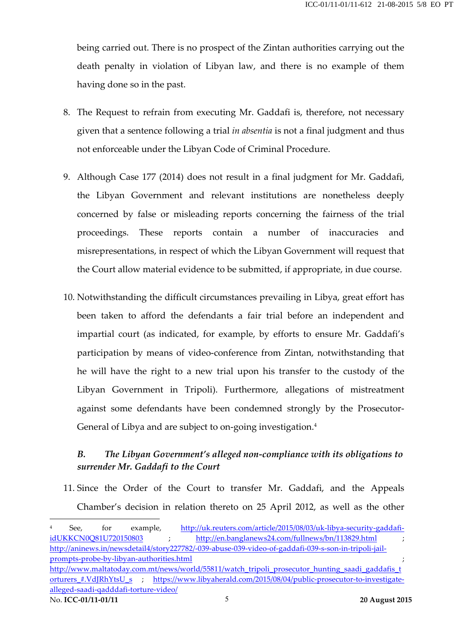being carried out. There is no prospect of the Zintan authorities carrying out the death penalty in violation of Libyan law, and there is no example of them having done so in the past.

- 8. The Request to refrain from executing Mr. Gaddafi is, therefore, not necessary given that a sentence following a trial *in absentia* is not a final judgment and thus not enforceable under the Libyan Code of Criminal Procedure.
- 9. Although Case 177 (2014) does not result in a final judgment for Mr. Gaddafi, the Libyan Government and relevant institutions are nonetheless deeply concerned by false or misleading reports concerning the fairness of the trial proceedings. These reports contain a number of inaccuracies and misrepresentations, in respect of which the Libyan Government will request that the Court allow material evidence to be submitted, if appropriate, in due course.
- 10. Notwithstanding the difficult circumstances prevailing in Libya, great effort has been taken to afford the defendants a fair trial before an independent and impartial court (as indicated, for example, by efforts to ensure Mr. Gaddafi's participation by means of video-conference from Zintan, notwithstanding that he will have the right to a new trial upon his transfer to the custody of the Libyan Government in Tripoli). Furthermore, allegations of mistreatment against some defendants have been condemned strongly by the Prosecutor-General of Libya and are subject to on-going investigation.<sup>4</sup>

## *B. The Libyan Government's alleged non-compliance with its obligations to surrender Mr. Gaddafi to the Court*

11. Since the Order of the Court to transfer Mr. Gaddafi, and the Appeals Chamber's decision in relation thereto on 25 April 2012, as well as the other

No. **ICC-01/11-01/11** 5 **20 August 2015** See, for example, http://uk.reuters.com/article/2015/08/03/uk-libya-security-gaddafiidUKKCN0Q81U720150803 ; http://en.banglanews24.com/fullnews/bn/113829.html ; http://aninews.in/newsdetail4/story227782/-039-abuse-039-video-of-gaddafi-039-s-son-in-tripoli-jailprompts-probe-by-libyan-authorities.html ; http://www.maltatoday.com.mt/news/world/55811/watch\_tripoli\_prosecutor\_hunting\_saadi\_gaddafis\_t orturers\_#.VdJRhYtsU\_s ; https://www.libyaherald.com/2015/08/04/public-prosecutor-to-investigatealleged-saadi-qadddafi-torture-video/

 $\overline{a}$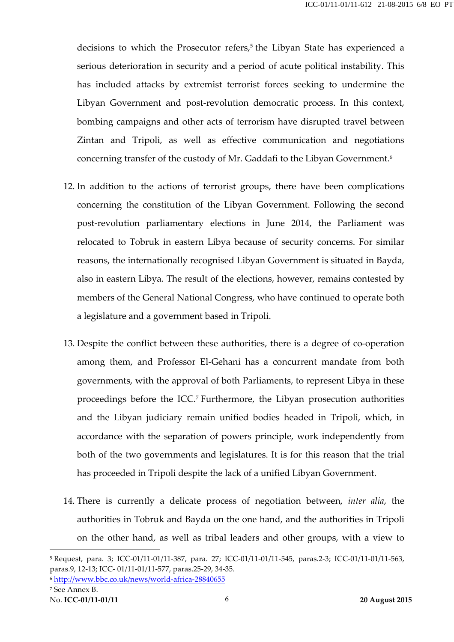decisions to which the Prosecutor refers, <sup>5</sup> the Libyan State has experienced a serious deterioration in security and a period of acute political instability. This has included attacks by extremist terrorist forces seeking to undermine the Libyan Government and post-revolution democratic process. In this context, bombing campaigns and other acts of terrorism have disrupted travel between Zintan and Tripoli, as well as effective communication and negotiations concerning transfer of the custody of Mr. Gaddafi to the Libyan Government. 6

- 12. In addition to the actions of terrorist groups, there have been complications concerning the constitution of the Libyan Government. Following the second post-revolution parliamentary elections in June 2014, the Parliament was relocated to Tobruk in eastern Libya because of security concerns. For similar reasons, the internationally recognised Libyan Government is situated in Bayda, also in eastern Libya. The result of the elections, however, remains contested by members of the General National Congress, who have continued to operate both a legislature and a government based in Tripoli.
- 13. Despite the conflict between these authorities, there is a degree of co-operation among them, and Professor El-Gehani has a concurrent mandate from both governments, with the approval of both Parliaments, to represent Libya in these proceedings before the ICC.7 Furthermore, the Libyan prosecution authorities and the Libyan judiciary remain unified bodies headed in Tripoli, which, in accordance with the separation of powers principle, work independently from both of the two governments and legislatures. It is for this reason that the trial has proceeded in Tripoli despite the lack of a unified Libyan Government.
- 14. There is currently a delicate process of negotiation between, *inter alia*, the authorities in Tobruk and Bayda on the one hand, and the authorities in Tripoli on the other hand, as well as tribal leaders and other groups, with a view to

 $\overline{a}$ 

<sup>5</sup> Request, para. 3; ICC-01/11-01/11-387, para. 27; ICC-01/11-01/11-545, paras.2-3; ICC-01/11-01/11-563, paras.9, 12-13; ICC- 01/11-01/11-577, paras.25-29, 34-35.

<sup>6</sup> http://www.bbc.co.uk/news/world-africa-28840655

<sup>7</sup> See Annex B.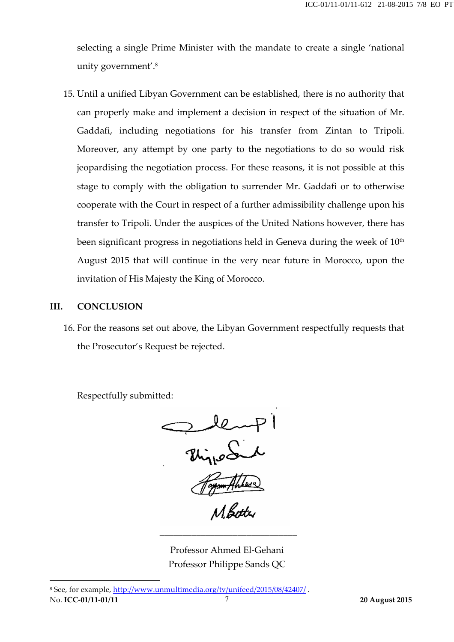selecting a single Prime Minister with the mandate to create a single 'national unity government'.8

15. Until a unified Libyan Government can be established, there is no authority that can properly make and implement a decision in respect of the situation of Mr. Gaddafi, including negotiations for his transfer from Zintan to Tripoli. Moreover, any attempt by one party to the negotiations to do so would risk jeopardising the negotiation process. For these reasons, it is not possible at this stage to comply with the obligation to surrender Mr. Gaddafi or to otherwise cooperate with the Court in respect of a further admissibility challenge upon his transfer to Tripoli. Under the auspices of the United Nations however, there has been significant progress in negotiations held in Geneva during the week of  $10<sup>th</sup>$ August 2015 that will continue in the very near future in Morocco, upon the invitation of His Majesty the King of Morocco.

#### **III. CONCLUSION**

 $\overline{\phantom{a}}$ 

16. For the reasons set out above, the Libyan Government respectfully requests that the Prosecutor's Request be rejected.

Respectfully submitted:



Professor Ahmed El-Gehani Professor Philippe Sands QC